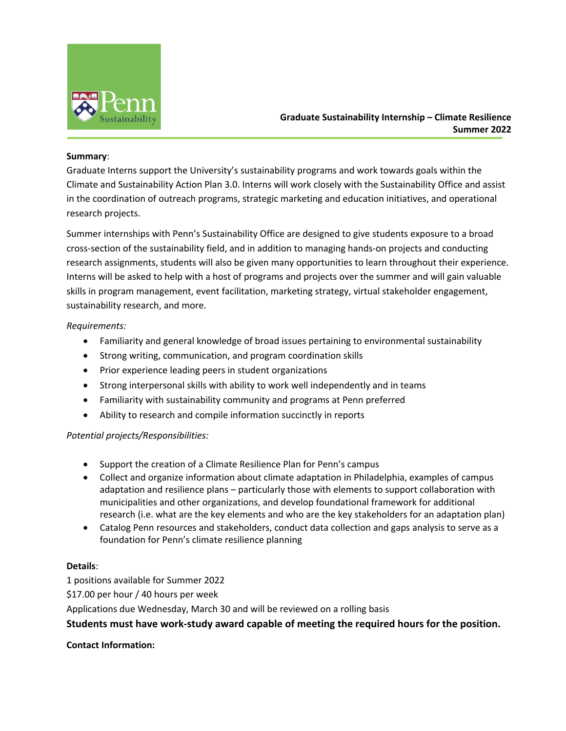

# **Graduate Sustainability Internship – Climate Resilience Summer 2022**

### **Summary**:

Graduate Interns support the University's sustainability programs and work towards goals within the Climate and Sustainability Action Plan 3.0. Interns will work closely with the Sustainability Office and assist in the coordination of outreach programs, strategic marketing and education initiatives, and operational research projects.

Summer internships with Penn's Sustainability Office are designed to give students exposure to a broad cross-section of the sustainability field, and in addition to managing hands-on projects and conducting research assignments, students will also be given many opportunities to learn throughout their experience. Interns will be asked to help with a host of programs and projects over the summer and will gain valuable skills in program management, event facilitation, marketing strategy, virtual stakeholder engagement, sustainability research, and more.

## *Requirements:*

- Familiarity and general knowledge of broad issues pertaining to environmental sustainability
- Strong writing, communication, and program coordination skills
- Prior experience leading peers in student organizations
- Strong interpersonal skills with ability to work well independently and in teams
- Familiarity with sustainability community and programs at Penn preferred
- Ability to research and compile information succinctly in reports

## *Potential projects/Responsibilities:*

- Support the creation of a Climate Resilience Plan for Penn's campus
- Collect and organize information about climate adaptation in Philadelphia, examples of campus adaptation and resilience plans – particularly those with elements to support collaboration with municipalities and other organizations, and develop foundational framework for additional research (i.e. what are the key elements and who are the key stakeholders for an adaptation plan)
- Catalog Penn resources and stakeholders, conduct data collection and gaps analysis to serve as a foundation for Penn's climate resilience planning

## **Details**:

1 positions available for Summer 2022 \$17.00 per hour / 40 hours per week Applications due Wednesday, March 30 and will be reviewed on a rolling basis **Students must have work-study award capable of meeting the required hours for the position.**

## **Contact Information:**